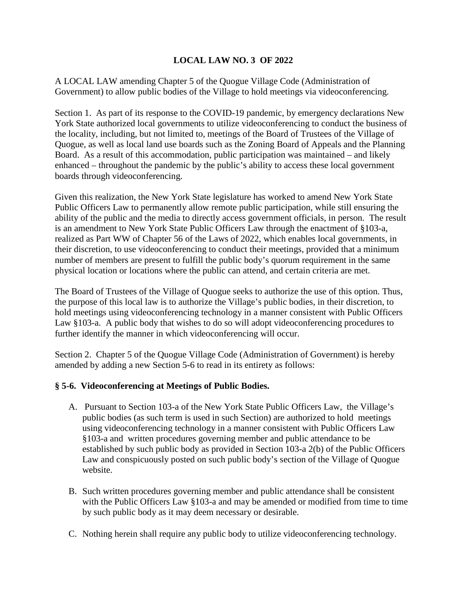## **LOCAL LAW NO. 3 OF 2022**

A LOCAL LAW amending Chapter 5 of the Quogue Village Code (Administration of Government) to allow public bodies of the Village to hold meetings via videoconferencing.

Section 1. As part of its response to the COVID-19 pandemic, by emergency declarations New York State authorized local governments to utilize videoconferencing to conduct the business of the locality, including, but not limited to, meetings of the Board of Trustees of the Village of Quogue, as well as local land use boards such as the Zoning Board of Appeals and the Planning Board. As a result of this accommodation, public participation was maintained – and likely enhanced – throughout the pandemic by the public's ability to access these local government boards through videoconferencing.

Given this realization, the New York State legislature has worked to amend New York State Public Officers Law to permanently allow remote public participation, while still ensuring the ability of the public and the media to directly access government officials, in person. The result is an amendment to New York State Public Officers Law through the enactment of §103-a, realized as Part WW of Chapter 56 of the Laws of 2022, which enables local governments, in their discretion, to use videoconferencing to conduct their meetings, provided that a minimum number of members are present to fulfill the public body's quorum requirement in the same physical location or locations where the public can attend, and certain criteria are met.

The Board of Trustees of the Village of Quogue seeks to authorize the use of this option. Thus, the purpose of this local law is to authorize the Village's public bodies, in their discretion, to hold meetings using videoconferencing technology in a manner consistent with Public Officers Law §103-a. A public body that wishes to do so will adopt videoconferencing procedures to further identify the manner in which videoconferencing will occur.

Section 2. Chapter 5 of the Quogue Village Code (Administration of Government) is hereby amended by adding a new Section 5-6 to read in its entirety as follows:

## **§ 5-6. Videoconferencing at Meetings of Public Bodies.**

- A. Pursuant to Section 103-a of the New York State Public Officers Law, the Village's public bodies (as such term is used in such Section) are authorized to hold meetings using videoconferencing technology in a manner consistent with Public Officers Law §103-a and written procedures governing member and public attendance to be established by such public body as provided in Section 103-a 2(b) of the Public Officers Law and conspicuously posted on such public body's section of the Village of Quogue website.
- B. Such written procedures governing member and public attendance shall be consistent with the Public Officers Law §103-a and may be amended or modified from time to time by such public body as it may deem necessary or desirable.
- C. Nothing herein shall require any public body to utilize videoconferencing technology.